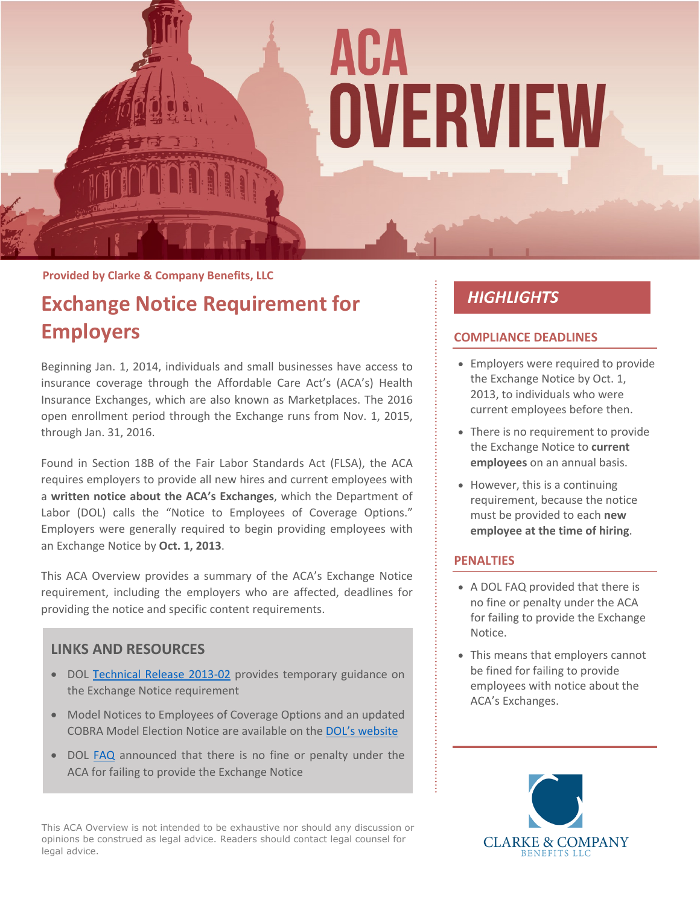

#### **Provided by Clarke & Company Benefits, LLC**

# **Exchange Notice Requirement for Employers**

Beginning Jan. 1, 2014, individuals and small businesses have access to insurance coverage through the Affordable Care Act's (ACA's) Health Insurance Exchanges, which are also known as Marketplaces. The 2016 open enrollment period through the Exchange runs from Nov. 1, 2015, through Jan. 31, 2016.

Found in Section 18B of the Fair Labor Standards Act (FLSA), the ACA requires employers to provide all new hires and current employees with a **written notice about the ACA's Exchanges**, which the Department of Labor (DOL) calls the "Notice to Employees of Coverage Options." Employers were generally required to begin providing employees with an Exchange Notice by **Oct. 1, 2013**.

This ACA Overview provides a summary of the ACA's Exchange Notice requirement, including the employers who are affected, deadlines for providing the notice and specific content requirements.

## **LINKS AND RESOURCES**

- DOL [Technical Release 2013-02](https://www.dol.gov/agencies/ebsa/employers-and-advisers/guidance/technical-releases/13-02) provides temporary guidance on the Exchange Notice requirement
- Model Notices to Employees of Coverage Options and an updated COBRA Model Election Notice are available on the [DOL's website](https://www.dol.gov/agencies/ebsa/laws-and-regulations/laws/affordable-care-act/for-employers-and-advisers/coverage-options-notice)
- DOL [FAQ](https://www.dol.gov/agencies/ebsa/about-ebsa/our-activities/resource-center/faqs/notice-of-coverage-options) announced that there is no fine or penalty under the ACA for failing to provide the Exchange Notice

This ACA Overview is not intended to be exhaustive nor should any discussion or opinions be construed as legal advice. Readers should contact legal counsel for legal advice.

# **HIGHLIGHTS**

#### **COMPLIANCE DEADLINES**

- Employers were required to provide the Exchange Notice by Oct. 1, 2013, to individuals who were current employees before then.
- There is no requirement to provide the Exchange Notice to **current employees** on an annual basis.
- However, this is a continuing requirement, because the notice must be provided to each **new employee at the time of hiring**.

#### **PENALTIES**

- A DOL FAQ provided that there is no fine or penalty under the ACA for failing to provide the Exchange Notice.
- This means that employers cannot be fined for failing to provide employees with notice about the ACA's Exchanges.

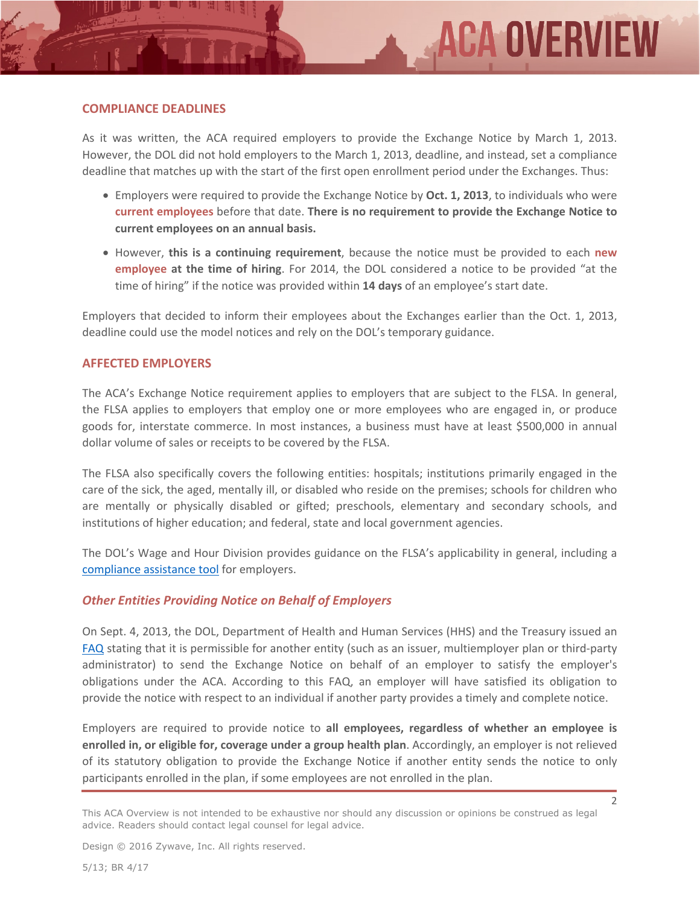#### **COMPLIANCE DEADLINES**

As it was written, the ACA required employers to provide the Exchange Notice by March 1, 2013. However, the DOL did not hold employers to the March 1, 2013, deadline, and instead, set a compliance deadline that matches up with the start of the first open enrollment period under the Exchanges. Thus:

- Employers were required to provide the Exchange Notice by **Oct. 1, 2013**, to individuals who were **current employees** before that date. **There is no requirement to provide the Exchange Notice to current employees on an annual basis.**
- However, **this is a continuing requirement**, because the notice must be provided to each **new employee at the time of hiring**. For 2014, the DOL considered a notice to be provided "at the time of hiring" if the notice was provided within **14 days** of an employee's start date.

Employers that decided to inform their employees about the Exchanges earlier than the Oct. 1, 2013, deadline could use the model notices and rely on the DOL's temporary guidance.

#### **AFFECTED EMPLOYERS**

The ACA's Exchange Notice requirement applies to employers that are subject to the FLSA. In general, the FLSA applies to employers that employ one or more employees who are engaged in, or produce goods for, interstate commerce. In most instances, a business must have at least \$500,000 in annual dollar volume of sales or receipts to be covered by the FLSA.

The FLSA also specifically covers the following entities: hospitals; institutions primarily engaged in the care of the sick, the aged, mentally ill, or disabled who reside on the premises; schools for children who are mentally or physically disabled or gifted; preschools, elementary and secondary schools, and institutions of higher education; and federal, state and local government agencies.

The DOL's Wage and Hour Division provides guidance on the FLSA's applicability in general, including a [compliance assistance tool](http://www.dol.gov/elaws/esa/flsa/scope/screen24.asp) for employers.

#### *Other Entities Providing Notice on Behalf of Employers*

On Sept. 4, 2013, the DOL, Department of Health and Human Services (HHS) and the Treasury issued an [FAQ](https://www.dol.gov/sites/default/files/ebsa/about-ebsa/our-activities/resource-center/faqs/aca-part-xvi.pdf) stating that it is permissible for another entity (such as an issuer, multiemployer plan or third-party administrator) to send the Exchange Notice on behalf of an employer to satisfy the employer's obligations under the ACA. According to this FAQ, an employer will have satisfied its obligation to provide the notice with respect to an individual if another party provides a timely and complete notice.

Employers are required to provide notice to **all employees, regardless of whether an employee is enrolled in, or eligible for, coverage under a group health plan**. Accordingly, an employer is not relieved of its statutory obligation to provide the Exchange Notice if another entity sends the notice to only participants enrolled in the plan, if some employees are not enrolled in the plan.

Design © 2016 Zywave, Inc. All rights reserved.

This ACA Overview is not intended to be exhaustive nor should any discussion or opinions be construed as legal advice. Readers should contact legal counsel for legal advice.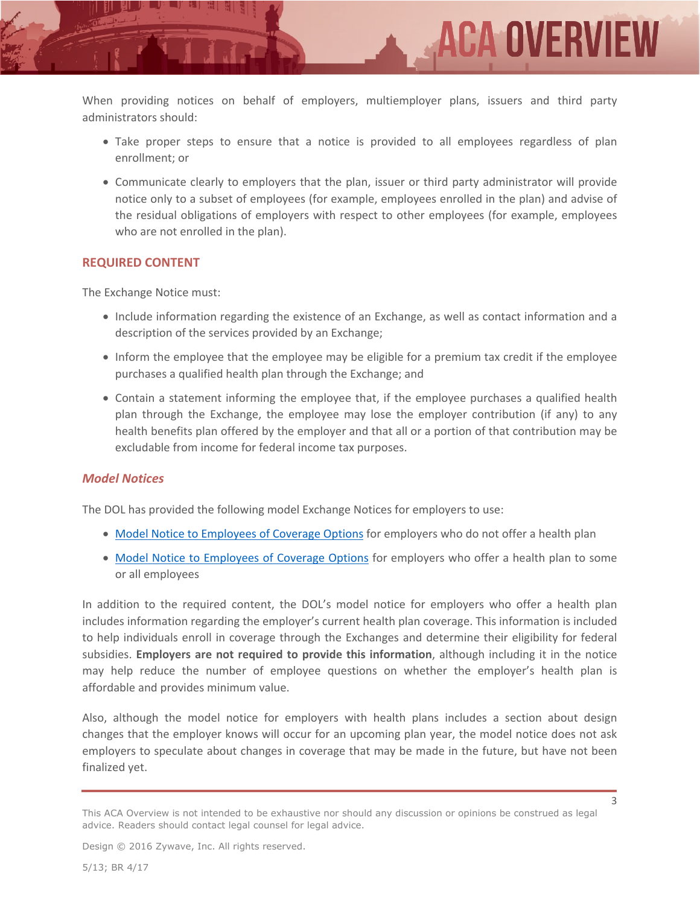When providing notices on behalf of employers, multiemployer plans, issuers and third party administrators should:

 Take proper steps to ensure that a notice is provided to all employees regardless of plan enrollment; or

ACA OVERVIEI

 Communicate clearly to employers that the plan, issuer or third party administrator will provide notice only to a subset of employees (for example, employees enrolled in the plan) and advise of the residual obligations of employers with respect to other employees (for example, employees who are not enrolled in the plan).

#### **REQUIRED CONTENT**

The Exchange Notice must:

- Include information regarding the existence of an Exchange, as well as contact information and a description of the services provided by an Exchange;
- Inform the employee that the employee may be eligible for a premium tax credit if the employee purchases a qualified health plan through the Exchange; and
- Contain a statement informing the employee that, if the employee purchases a qualified health plan through the Exchange, the employee may lose the employer contribution (if any) to any health benefits plan offered by the employer and that all or a portion of that contribution may be excludable from income for federal income tax purposes.

#### *Model Notices*

The DOL has provided the following model Exchange Notices for employers to use:

- [Model Notice to Employees of Coverage Options](https://www.dol.gov/sites/default/files/ebsa/laws-and-regulations/laws/affordable-care-act/for-employers-and-advisers/model-notice-for-employers-who-do-not-offer-a-health-plan.pdf) for employers who do not offer a health plan
- [Model Notice to Employees of Coverage Options](https://www.dol.gov/sites/default/files/ebsa/laws-and-regulations/laws/affordable-care-act/for-employers-and-advisers/model-notice-for-employers-who-offer-a-health-plan-to-some-or-all-employees.pdf) for employers who offer a health plan to some or all employees

In addition to the required content, the DOL's model notice for employers who offer a health plan includes information regarding the employer's current health plan coverage. This information is included to help individuals enroll in coverage through the Exchanges and determine their eligibility for federal subsidies. **Employers are not required to provide this information**, although including it in the notice may help reduce the number of employee questions on whether the employer's health plan is affordable and provides minimum value.

Also, although the model notice for employers with health plans includes a section about design changes that the employer knows will occur for an upcoming plan year, the model notice does not ask employers to speculate about changes in coverage that may be made in the future, but have not been finalized yet.

Design © 2016 Zywave, Inc. All rights reserved.

3

This ACA Overview is not intended to be exhaustive nor should any discussion or opinions be construed as legal advice. Readers should contact legal counsel for legal advice.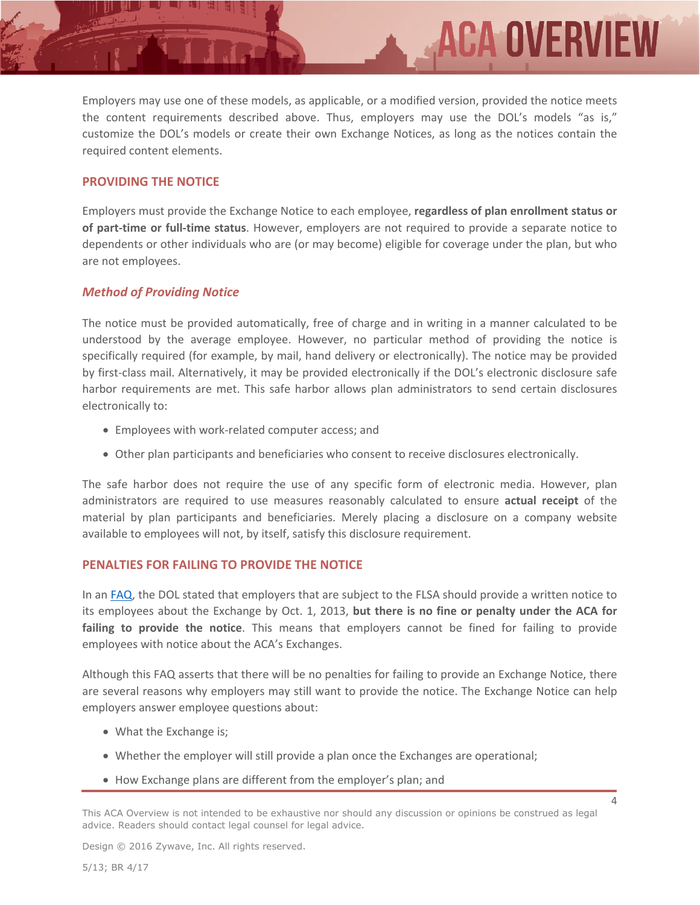Employers may use one of these models, as applicable, or a modified version, provided the notice meets the content requirements described above. Thus, employers may use the DOL's models "as is," customize the DOL's models or create their own Exchange Notices, as long as the notices contain the required content elements.

**ACA OVERVIE** 

#### **PROVIDING THE NOTICE**

Employers must provide the Exchange Notice to each employee, **regardless of plan enrollment status or of part-time or full-time status**. However, employers are not required to provide a separate notice to dependents or other individuals who are (or may become) eligible for coverage under the plan, but who are not employees.

### *Method of Providing Notice*

The notice must be provided automatically, free of charge and in writing in a manner calculated to be understood by the average employee. However, no particular method of providing the notice is specifically required (for example, by mail, hand delivery or electronically). The notice may be provided by first-class mail. Alternatively, it may be provided electronically if the DOL's electronic disclosure safe harbor requirements are met. This safe harbor allows plan administrators to send certain disclosures electronically to:

- Employees with work-related computer access; and
- Other plan participants and beneficiaries who consent to receive disclosures electronically.

The safe harbor does not require the use of any specific form of electronic media. However, plan administrators are required to use measures reasonably calculated to ensure **actual receipt** of the material by plan participants and beneficiaries. Merely placing a disclosure on a company website available to employees will not, by itself, satisfy this disclosure requirement.

#### **PENALTIES FOR FAILING TO PROVIDE THE NOTICE**

In an [FAQ,](https://www.dol.gov/agencies/ebsa/about-ebsa/our-activities/resource-center/faqs/notice-of-coverage-options) the DOL stated that employers that are subject to the FLSA should provide a written notice to its employees about the Exchange by Oct. 1, 2013, **but there is no fine or penalty under the ACA for failing to provide the notice**. This means that employers cannot be fined for failing to provide employees with notice about the ACA's Exchanges.

Although this FAQ asserts that there will be no penalties for failing to provide an Exchange Notice, there are several reasons why employers may still want to provide the notice. The Exchange Notice can help employers answer employee questions about:

- What the Exchange is;
- Whether the employer will still provide a plan once the Exchanges are operational;
- How Exchange plans are different from the employer's plan; and

4

Design © 2016 Zywave, Inc. All rights reserved.

This ACA Overview is not intended to be exhaustive nor should any discussion or opinions be construed as legal advice. Readers should contact legal counsel for legal advice.